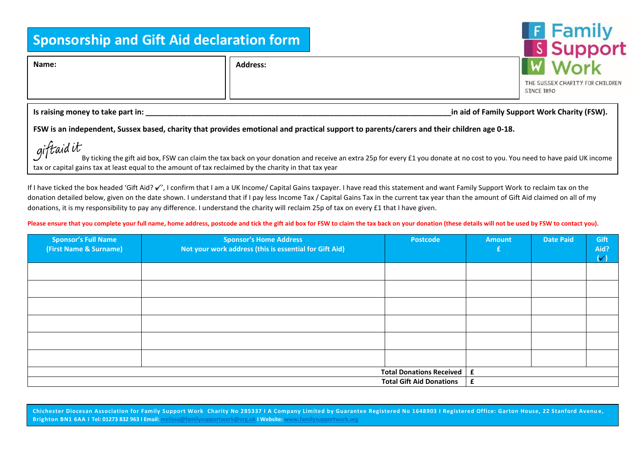## **Sponsorship and Gift Aid declaration form**

**Name: Address:**

| <b>F</b> Family  |
|------------------|
| <b>S</b> Support |
| <b>W</b> Work    |

THE SUSSEX CHARITY FOR CHILDREN **STNCE 1890** 

Is raising money to take part in: **New Straing and Straining Support Work Charity (FSW).** In aid of Family Support Work Charity (FSW).

**FSW is an independent, Sussex based, charity that provides emotional and practical support to parents/carers and their children age 0-18.**

 $g$ ift aid it<br>By ticking the gift aid box, FSW can claim the tax back on your donation and receive an extra 25p for every £1 you donate at no cost to you. You need to have paid UK income tax or capital gains tax at least equal to the amount of tax reclaimed by the charity in that tax year

If I have ticked the box headed 'Gift Aid?  $\checkmark'$ , I confirm that I am a UK Income/ Capital Gains taxpayer. I have read this statement and want Family Support Work to reclaim tax on the donation detailed below, given on the date shown. I understand that if I pay less Income Tax / Capital Gains Tax in the current tax year than the amount of Gift Aid claimed on all of my donations, it is my responsibility to pay any difference. I understand the charity will reclaim 25p of tax on every £1 that I have given.

## Please ensure that you complete your full name, home address, postcode and tick the gift aid box for FSW to claim the tax back on your donation (these details will not be used by FSW to contact you).

| <b>Sponsor's Full Name</b><br>(First Name & Surname) | <b>Sponsor's Home Address</b><br>Not your work address (this is essential for Gift Aid) | <b>Postcode</b> | <b>Amount</b> | <b>Date Paid</b> | Gift<br>Aid?<br>$\mathcal{N}$ |
|------------------------------------------------------|-----------------------------------------------------------------------------------------|-----------------|---------------|------------------|-------------------------------|
|                                                      |                                                                                         |                 |               |                  |                               |
|                                                      |                                                                                         |                 |               |                  |                               |
|                                                      |                                                                                         |                 |               |                  |                               |
|                                                      |                                                                                         |                 |               |                  |                               |
|                                                      |                                                                                         |                 |               |                  |                               |
|                                                      |                                                                                         |                 |               |                  |                               |
| <b>Total Donations Received</b>                      |                                                                                         | £               |               |                  |                               |
| <b>Total Gift Aid Donations</b>                      |                                                                                         | £               |               |                  |                               |

**Chichester Diocesan Association for Family Support Work Charity No 285337 I A Company Limited by Guarantee Registered No 1648903 I Registered Office: Garton House, 22 Stanford Avenu e, Brighton BN1 6AA I Tel: 01273 832 963 I Email[: melissa@familysupportwork@org.uk](mailto:melissa@familysupportwork@org.uk) I Website[: www.familysupportwork.org](http://www.familysupportwork.org/)**